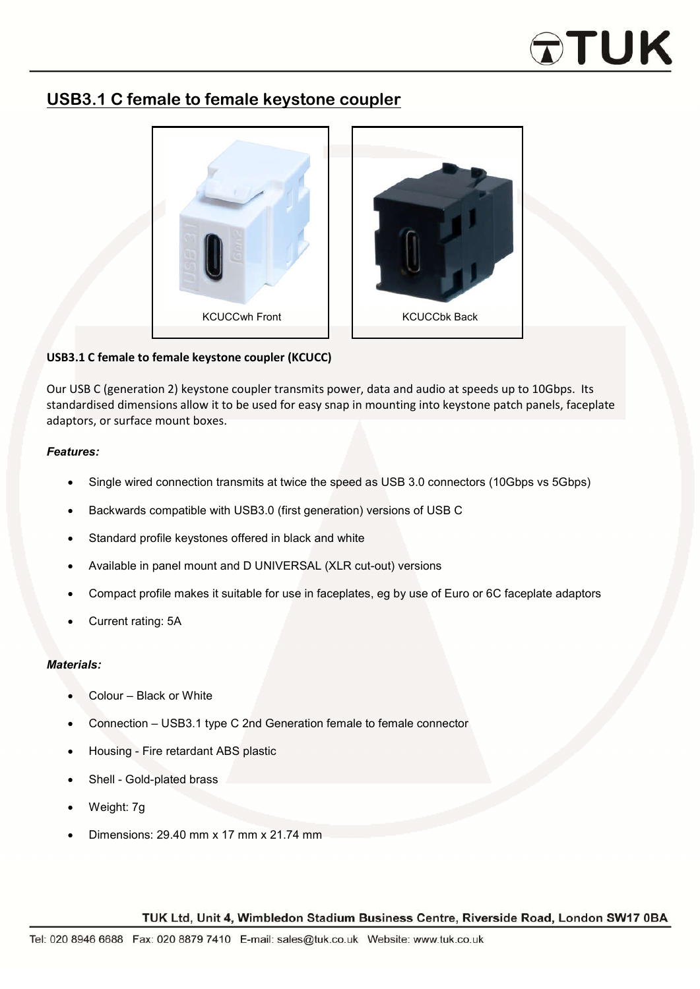# **DTUK**

### **USB3.1 C female to female keystone coupler**



#### **USB3.1 C female to female keystone coupler (KCUCC)**

Our USB C (generation 2) keystone coupler transmits power, data and audio at speeds up to 10Gbps. Its standardised dimensions allow it to be used for easy snap in mounting into keystone patch panels, faceplate adaptors, or surface mount boxes.

#### *Features:*

- Single wired connection transmits at twice the speed as USB 3.0 connectors (10Gbps vs 5Gbps)
- Backwards compatible with USB3.0 (first generation) versions of USB C
- Standard profile keystones offered in black and white
- Available in panel mount and D UNIVERSAL (XLR cut-out) versions
- Compact profile makes it suitable for use in faceplates, eg by use of Euro or 6C faceplate adaptors
- Current rating: 5A

#### *Materials:*

- Colour Black or White
- Connection USB3.1 type C 2nd Generation female to female connector
- Housing Fire retardant ABS plastic
- Shell Gold-plated brass
- Weight: 7g
- Dimensions: 29.40 mm x 17 mm x 21.74 mm

#### TUK Ltd, Unit 4, Wimbledon Stadium Business Centre, Riverside Road, London SW17 0BA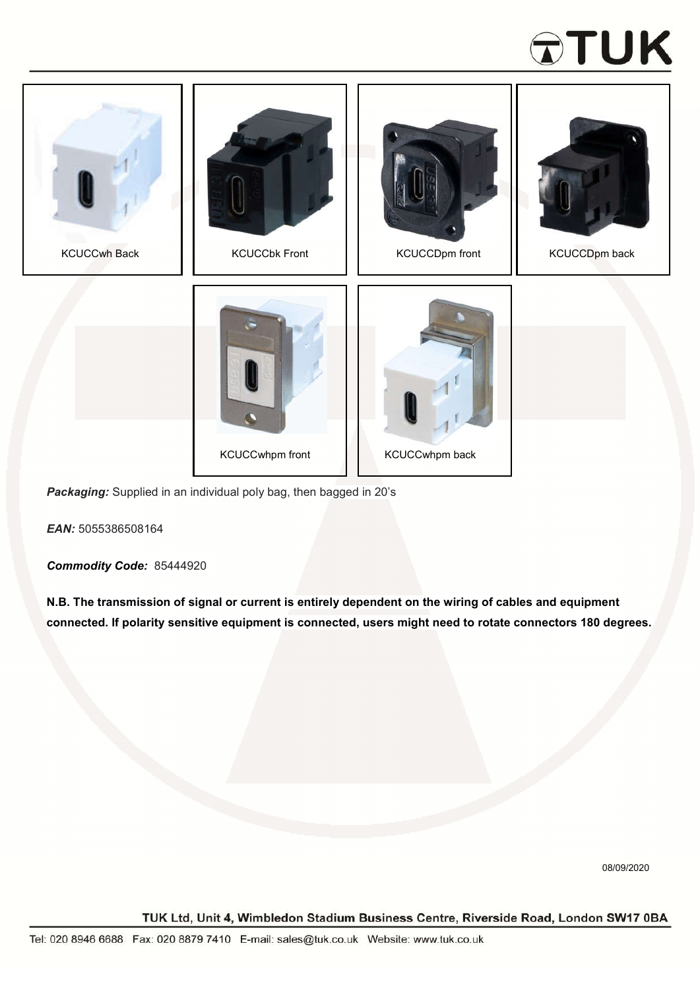## **ATUK**



*Packaging:* Supplied in an individual poly bag, then bagged in 20's

*EAN:* 5055386508164

*Commodity Code:* 85444920

**N.B. The transmission of signal or current is entirely dependent on the wiring of cables and equipment connected. If polarity sensitive equipment is connected, users might need to rotate connectors 180 degrees.**

08/09/2020

TUK Ltd, Unit 4, Wimbledon Stadium Business Centre, Riverside Road, London SW17 0BA